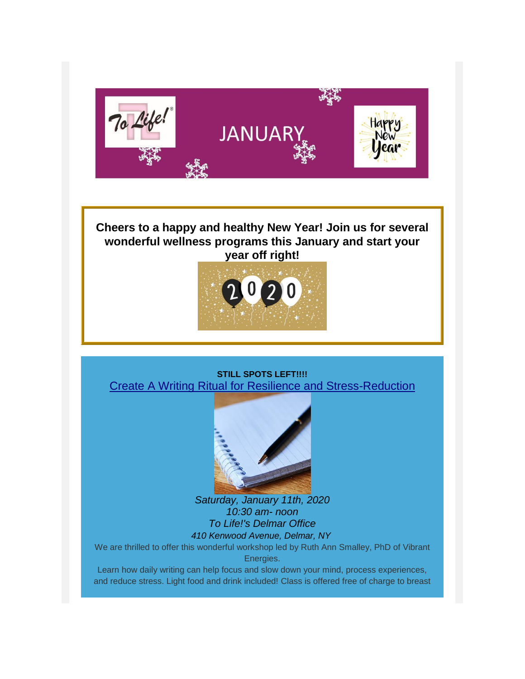

# **Cheers to a happy and healthy New Year! Join us for several wonderful wellness programs this January and start your year off right!**



### **STILL SPOTS LEFT!!!!** [Create A Writing Ritual for Resilience and Stress-Reduction](https://www.facebook.com/events/2972599399417851/)



*Saturday, January 11th, 2020 10:30 am- noon To Life!'s Delmar Office 410 Kenwood Avenue, Delmar, NY*

We are thrilled to offer this wonderful workshop led by Ruth Ann Smalley, PhD of Vibrant Energies.

Learn how daily writing can help focus and slow down your mind, process experiences, and reduce stress. Light food and drink included! Class is offered free of charge to breast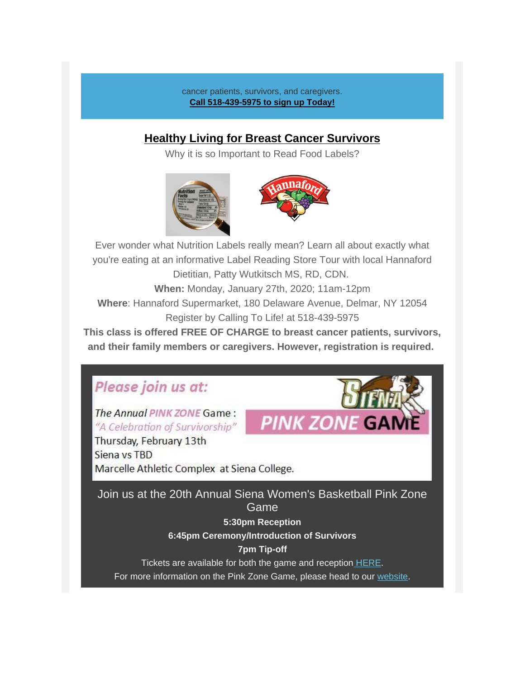cancer patients, survivors, and caregivers. **Call 518-439-5975 to sign up Today!**

## **[Healthy Living for Breast Cancer Survivors](https://gallery.mailchimp.com/241d59b897b4121e9d2e15914/files/1d6f79af-f8a7-44b8-af56-746c912d441b/Hannaford_Label_Reading_Class_Jan_27_2019.pdf)**

Why it is so Important to Read Food Labels?





**PINK ZONE G** 

Ever wonder what Nutrition Labels really mean? Learn all about exactly what you're eating at an informative Label Reading Store Tour with local Hannaford Dietitian, Patty Wutkitsch MS, RD, CDN. **When:** Monday, January 27th, 2020; 11am-12pm

**Where**: Hannaford Supermarket, 180 Delaware Avenue, Delmar, NY 12054 Register by Calling To Life! at 518-439-5975

*This class is offered FREE OF CHARGE to breast cancer patients, survivors, and their family members or caregivers. However, registration is required.*

# Please join us at:

The Annual PINK ZONE Game: "A Celebration of Survivorship"

Thursday, February 13th Siena vs TBD Marcelle Athletic Complex at Siena College.

*Join us at the 20th Annual Siena Women's Basketball Pink Zone Game*

**5:30pm Reception**

**6:45pm Ceremony/Introduction of Survivors**

### **7pm Tip-off**

Tickets are available for both the game and reception [HERE.](https://tolife.org/donating-and-fundraising-events/fundraising-events/pink-zone/siena-womens-basketball-pink-zone-game)

For more information on the Pink Zone Game, please head to our [website.](https://tolife.org/donating-and-fundraising-events/fundraising-events/pink-zone)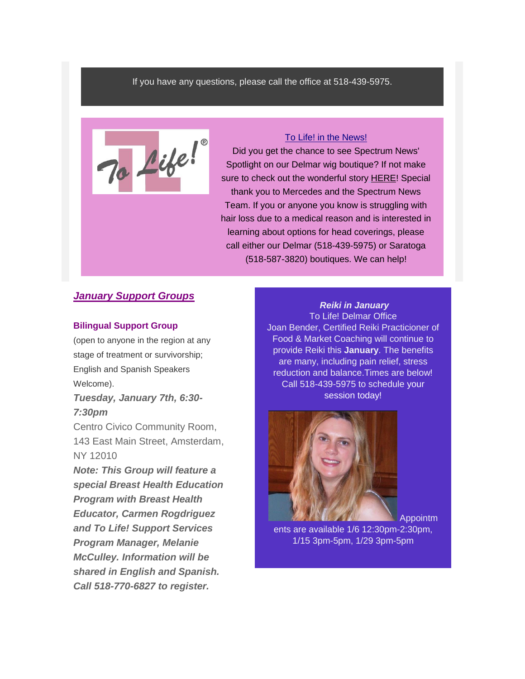#### If you have any questions, please call the office at 518-439-5975.



### [To Life! in the News!](https://spectrumlocalnews.com/nys/capital-region/news/2019/12/21/to-life-wig-boutique-works-for-those-dealing-with-hair-loss-)

Did you get the chance to see Spectrum News' Spotlight on our Delmar wig boutique? If not make sure to check out the wonderful story [HERE!](https://spectrumlocalnews.com/nys/capital-region/news/2019/12/21/to-life-wig-boutique-works-for-those-dealing-with-hair-loss-) Special thank you to Mercedes and the Spectrum News Team. If you or anyone you know is struggling with hair loss due to a medical reason and is interested in learning about options for head coverings, please call either our Delmar (518-439-5975) or Saratoga (518-587-3820) boutiques. We can help!

### *January Support Groups*

#### *Bilingual Support Group*

(open to anyone in the region at any stage of treatment or survivorship; English and Spanish Speakers Welcome). *Tuesday, January 7th, 6:30-*

# *7:30pm*

Centro Civico Community Room, 143 East Main Street, Amsterdam, NY 12010

*Note: This Group will feature a special Breast Health Education Program with Breast Health Educator, Carmen Rogdriguez and To Life! Support Services Program Manager, Melanie McCulley. Information will be shared in English and Spanish. Call 518-770-6827 to register.*

*Reiki in January* To Life! Delmar Office Joan Bender, Certified Reiki Practicioner of Food & Market Coaching will continue to provide Reiki this **January**. The benefits are many, including pain relief, stress reduction and balance.Times are below! Call 518-439-5975 to schedule your session today!



Appointm

ents are available 1/6 12:30pm-2:30pm, 1/15 3pm-5pm, 1/29 3pm-5pm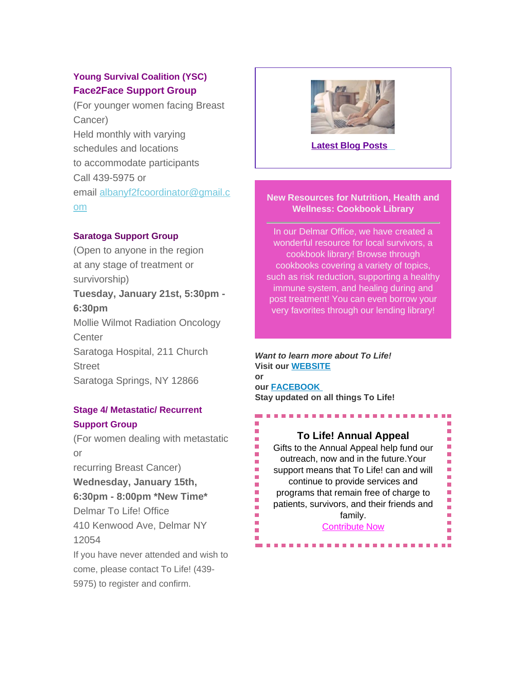## *Young Survival Coalition (YSC) Face2Face Support Group*

(For younger women facing Breast Cancer) Held monthly with varying schedules and locations to accommodate participants Call 439-5975 or email [albanyf2fcoordinator@gmail.c](mailto:albanyf2fcoordinator@gmail.com) [om](mailto:albanyf2fcoordinator@gmail.com)

### *Saratoga Support Group*

(Open to anyone in the region at any stage of treatment or survivorship) *Tuesday, January 21st, 5:30pm - 6:30pm* Mollie Wilmot Radiation Oncology **Center** Saratoga Hospital, 211 Church Street Saratoga Springs, NY 12866

### *Stage 4/ Metastatic/ Recurrent Support Group*

(For women dealing with metastatic or recurring Breast Cancer) *Wednesday, January 15th, 6:30pm - 8:00pm \*New Time\** Delmar To Life! Office 410 Kenwood Ave, Delmar NY 12054 If you have never attended and wish to come, please contact To Life! (439-

5975) to register and confirm.



### **[Latest Blog Posts](https://tolife.org/blog)**

### **New Resources for Nutrition, Health and Wellness: Cookbook Library**

In our Delmar Office, we have created a wonderful resource for local survivors, a cookbook library! Browse through cookbooks covering a variety of topics, such as risk reduction, supporting a healthy immune system, and healing during and post treatment! You can even borrow your very favorites through our lending library!

*Want to learn more about To Life!* **Visit our [WEBSITE](https://tolife.org/) or our [FACEBOOK](https://www.facebook.com/ToLifeCares) Stay updated on all things To Life!**

Ē,

Ĩ.

ш

Ē. Ē.

Ī.

Ė

Ē,

### **To Life! Annual Appeal**

n.

Ē.

Ĥ.

П Ē.

r.

Ī.

Ì.

L.  $\overline{\phantom{a}}$ ×. m. ٠ ÷.

Gifts to the Annual Appeal help fund our outreach, now and in the future.Your support means that To Life! can and will continue to provide services and programs that remain free of charge to patients, survivors, and their friends and family.

*[Contribute Now](https://tolife.org/index.php/donating-and-fundraising-events/giving/annual-appeal)*

----------